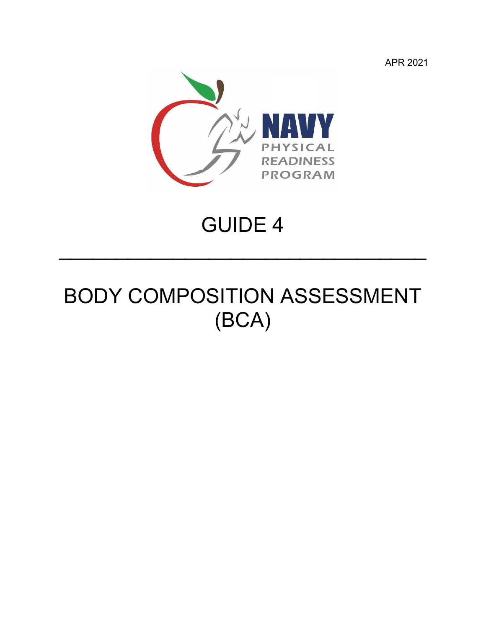APR 2021



### GUIDE 4

 $\mathcal{L}=\{1,2,3,4\}$  , we can assume that  $\mathcal{L}=\{1,2,3,4\}$  , we can assume that  $\mathcal{L}=\{1,2,3,4\}$ 

## BODY COMPOSITION ASSESSMENT (BCA)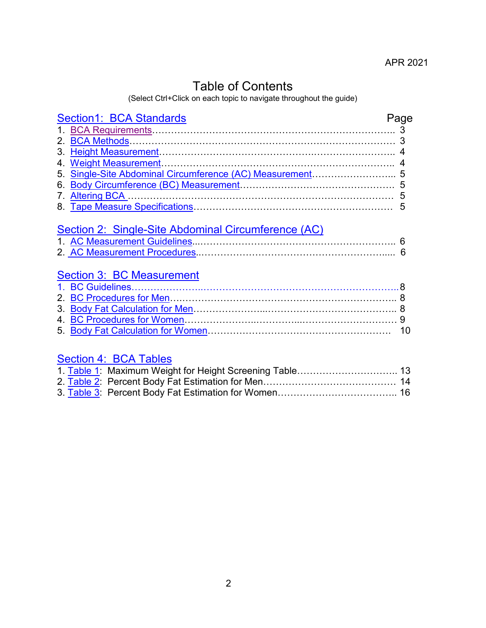### Table of Contents

(Select Ctrl+Click on each topic to navigate throughout the guide)

| <b>Section1: BCA Standards</b>                                                                                   | Page       |
|------------------------------------------------------------------------------------------------------------------|------------|
|                                                                                                                  |            |
|                                                                                                                  |            |
|                                                                                                                  |            |
|                                                                                                                  |            |
|                                                                                                                  |            |
|                                                                                                                  |            |
|                                                                                                                  |            |
|                                                                                                                  |            |
| Section 2: Single-Site Abdominal Circumference (AC)<br>Section 3: BC Measurement                                 |            |
|                                                                                                                  |            |
|                                                                                                                  |            |
|                                                                                                                  |            |
|                                                                                                                  |            |
| <b>Section 4: BCA Tables</b><br>$\overline{A}$ Table $\overline{A}$ . Maximum Michal fault shaft Cancerium Table | $\sqrt{2}$ |
|                                                                                                                  |            |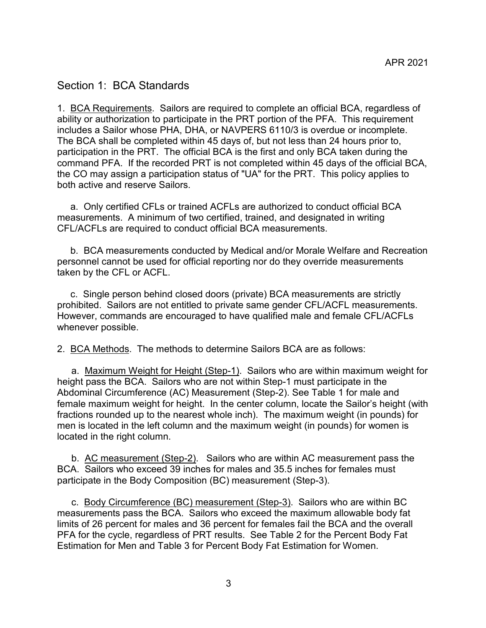#### <span id="page-2-0"></span>Section 1: BCA Standards

<span id="page-2-1"></span>1. BCA Requirements. Sailors are required to complete an official BCA, regardless of ability or authorization to participate in the PRT portion of the PFA. This requirement includes a Sailor whose PHA, DHA, or NAVPERS 6110/3 is overdue or incomplete. The BCA shall be completed within 45 days of, but not less than 24 hours prior to, participation in the PRT. The official BCA is the first and only BCA taken during the command PFA. If the recorded PRT is not completed within 45 days of the official BCA, the CO may assign a participation status of "UA" for the PRT. This policy applies to both active and reserve Sailors.

 a. Only certified CFLs or trained ACFLs are authorized to conduct official BCA measurements. A minimum of two certified, trained, and designated in writing CFL/ACFLs are required to conduct official BCA measurements.

 b. BCA measurements conducted by Medical and/or Morale Welfare and Recreation personnel cannot be used for official reporting nor do they override measurements taken by the CFL or ACFL.

 c. Single person behind closed doors (private) BCA measurements are strictly prohibited. Sailors are not entitled to private same gender CFL/ACFL measurements. However, commands are encouraged to have qualified male and female CFL/ACFLs whenever possible.

<span id="page-2-2"></span>2. BCA Methods. The methods to determine Sailors BCA are as follows:

a. Maximum Weight for Height (Step-1). Sailors who are within maximum weight for height pass the BCA. Sailors who are not within Step-1 must participate in the Abdominal Circumference (AC) Measurement (Step-2). See Table 1 for male and female maximum weight for height. In the center column, locate the Sailor's height (with fractions rounded up to the nearest whole inch). The maximum weight (in pounds) for men is located in the left column and the maximum weight (in pounds) for women is located in the right column.

b. AC measurement (Step-2). Sailors who are within AC measurement pass the BCA. Sailors who exceed 39 inches for males and 35.5 inches for females must participate in the Body Composition (BC) measurement (Step-3).

c. Body Circumference (BC) measurement (Step-3). Sailors who are within BC measurements pass the BCA. Sailors who exceed the maximum allowable body fat limits of 26 percent for males and 36 percent for females fail the BCA and the overall PFA for the cycle, regardless of PRT results. See Table 2 for the Percent Body Fat Estimation for Men and Table 3 for Percent Body Fat Estimation for Women.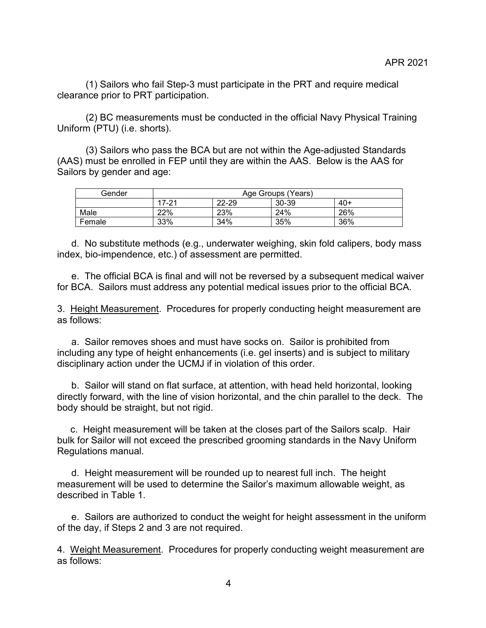(1) Sailors who fail Step-3 must participate in the PRT and require medical clearance prior to PRT participation.

(2) BC measurements must be conducted in the official Navy Physical Training Uniform (PTU) (i.e. shorts).

(3) Sailors who pass the BCA but are not within the Age-adjusted Standards (AAS) must be enrolled in FEP until they are within the AAS. Below is the AAS for Sailors by gender and age:

| Gender |       | Age Groups (Years) |       |       |  |  |  |  |  |  |  |  |  |
|--------|-------|--------------------|-------|-------|--|--|--|--|--|--|--|--|--|
|        | 17-21 | 22-29              | 30-39 | $40+$ |  |  |  |  |  |  |  |  |  |
| Male   | 22%   | 23%                | 24%   | 26%   |  |  |  |  |  |  |  |  |  |
| Female | 33%   | 34%                | 35%   | 36%   |  |  |  |  |  |  |  |  |  |

d. No substitute methods (e.g., underwater weighing, skin fold calipers, body mass index, bio-impendence, etc.) of assessment are permitted.

e. The official BCA is final and will not be reversed by a subsequent medical waiver for BCA. Sailors must address any potential medical issues prior to the official BCA.

<span id="page-3-0"></span>3. Height Measurement. Procedures for properly conducting height measurement are as follows:

a. Sailor removes shoes and must have socks on. Sailor is prohibited from including any type of height enhancements (i.e. gel inserts) and is subject to military disciplinary action under the UCMJ if in violation of this order.

b. Sailor will stand on flat surface, at attention, with head held horizontal, looking directly forward, with the line of vision horizontal, and the chin parallel to the deck. The body should be straight, but not rigid.

 c. Height measurement will be taken at the closes part of the Sailors scalp. Hair bulk for Sailor will not exceed the prescribed grooming standards in the Navy Uniform Regulations manual.

d. Height measurement will be rounded up to nearest full inch. The height measurement will be used to determine the Sailor's maximum allowable weight, as described in Table 1.

e. Sailors are authorized to conduct the weight for height assessment in the uniform of the day, if Steps 2 and 3 are not required.

<span id="page-3-1"></span>4. Weight Measurement. Procedures for properly conducting weight measurement are as follows: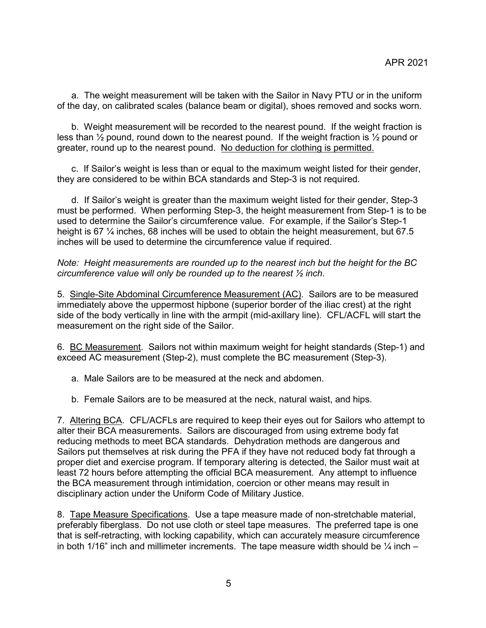a. The weight measurement will be taken with the Sailor in Navy PTU or in the uniform of the day, on calibrated scales (balance beam or digital), shoes removed and socks worn.

b. Weight measurement will be recorded to the nearest pound. If the weight fraction is less than ½ pound, round down to the nearest pound. If the weight fraction is ½ pound or greater, round up to the nearest pound. No deduction for clothing is permitted.

c. If Sailor's weight is less than or equal to the maximum weight listed for their gender, they are considered to be within BCA standards and Step-3 is not required.

d. If Sailor's weight is greater than the maximum weight listed for their gender, Step-3 must be performed. When performing Step-3, the height measurement from Step-1 is to be used to determine the Sailor's circumference value. For example, if the Sailor's Step-1 height is 67 ¼ inches, 68 inches will be used to obtain the height measurement, but 67.5 inches will be used to determine the circumference value if required.

*Note: Height measurements are rounded up to the nearest inch but the height for the BC circumference value will only be rounded up to the nearest ½ inch*.

<span id="page-4-0"></span>5. Single-Site Abdominal Circumference Measurement (AC). Sailors are to be measured immediately above the uppermost hipbone (superior border of the iliac crest) at the right side of the body vertically in line with the armpit (mid-axillary line). CFL/ACFL will start the measurement on the right side of the Sailor.

<span id="page-4-1"></span>6. BC Measurement. Sailors not within maximum weight for height standards (Step-1) and exceed AC measurement (Step-2), must complete the BC measurement (Step-3).

a. Male Sailors are to be measured at the neck and abdomen.

b. Female Sailors are to be measured at the neck, natural waist, and hips.

<span id="page-4-2"></span>7. Altering BCA. CFL/ACFLs are required to keep their eyes out for Sailors who attempt to alter their BCA measurements. Sailors are discouraged from using extreme body fat reducing methods to meet BCA standards. Dehydration methods are dangerous and Sailors put themselves at risk during the PFA if they have not reduced body fat through a proper diet and exercise program. If temporary altering is detected, the Sailor must wait at least 72 hours before attempting the official BCA measurement. Any attempt to influence the BCA measurement through intimidation, coercion or other means may result in disciplinary action under the Uniform Code of Military Justice.

<span id="page-4-3"></span>8. Tape Measure Specifications. Use a tape measure made of non-stretchable material, preferably fiberglass. Do not use cloth or steel tape measures. The preferred tape is one that is self-retracting, with locking capability, which can accurately measure circumference in both 1/16" inch and millimeter increments. The tape measure width should be  $\frac{1}{4}$  inch –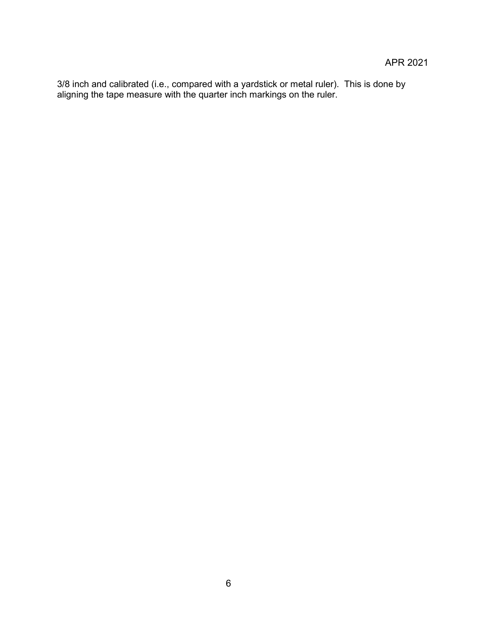3/8 inch and calibrated (i.e., compared with a yardstick or metal ruler). This is done by aligning the tape measure with the quarter inch markings on the ruler.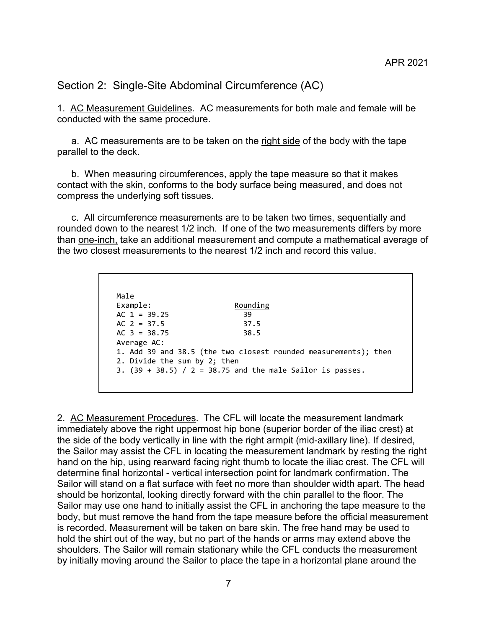<span id="page-6-0"></span>Section 2: Single-Site Abdominal Circumference (AC)

<span id="page-6-1"></span>1. AC Measurement Guidelines. AC measurements for both male and female will be conducted with the same procedure.

a. AC measurements are to be taken on the right side of the body with the tape parallel to the deck.

b. When measuring circumferences, apply the tape measure so that it makes contact with the skin, conforms to the body surface being measured, and does not compress the underlying soft tissues.

c. All circumference measurements are to be taken two times, sequentially and rounded down to the nearest 1/2 inch. If one of the two measurements differs by more than one-inch, take an additional measurement and compute a mathematical average of the two closest measurements to the nearest 1/2 inch and record this value.

| Male                         |                                                                 |
|------------------------------|-----------------------------------------------------------------|
| Example:                     | Rounding                                                        |
| AC $1 = 39.25$               | 39                                                              |
| AC $2 = 37.5$                | 37.5                                                            |
| $AC$ 3 = 38.75               | 38.5                                                            |
| Average AC:                  |                                                                 |
|                              | 1. Add 39 and 38.5 (the two closest rounded measurements); then |
| 2. Divide the sum by 2; then |                                                                 |
|                              | 3. $(39 + 38.5) / 2 = 38.75$ and the male Sailor is passes.     |

<span id="page-6-2"></span>2. AC Measurement Procedures. The CFL will locate the measurement landmark immediately above the right uppermost hip bone (superior border of the iliac crest) at the side of the body vertically in line with the right armpit (mid-axillary line). If desired, the Sailor may assist the CFL in locating the measurement landmark by resting the right hand on the hip, using rearward facing right thumb to locate the iliac crest. The CFL will determine final horizontal - vertical intersection point for landmark confirmation. The Sailor will stand on a flat surface with feet no more than shoulder width apart. The head should be horizontal, looking directly forward with the chin parallel to the floor. The Sailor may use one hand to initially assist the CFL in anchoring the tape measure to the body, but must remove the hand from the tape measure before the official measurement is recorded. Measurement will be taken on bare skin. The free hand may be used to hold the shirt out of the way, but no part of the hands or arms may extend above the shoulders. The Sailor will remain stationary while the CFL conducts the measurement by initially moving around the Sailor to place the tape in a horizontal plane around the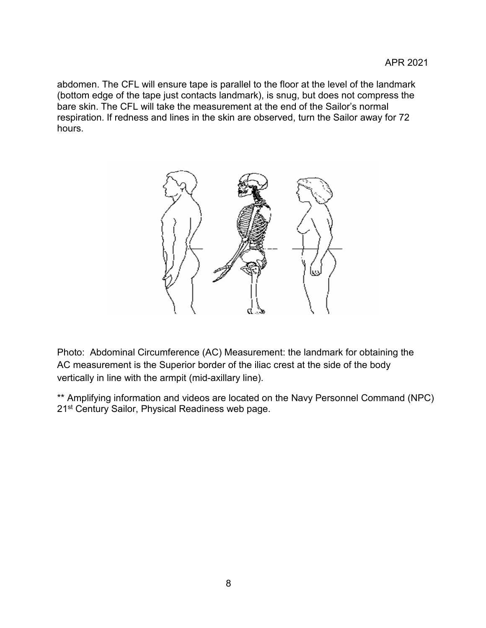abdomen. The CFL will ensure tape is parallel to the floor at the level of the landmark (bottom edge of the tape just contacts landmark), is snug, but does not compress the bare skin. The CFL will take the measurement at the end of the Sailor's normal respiration. If redness and lines in the skin are observed, turn the Sailor away for 72 hours.



Photo: Abdominal Circumference (AC) Measurement: the landmark for obtaining the AC measurement is the Superior border of the iliac crest at the side of the body vertically in line with the armpit (mid-axillary line).

\*\* Amplifying information and videos are located on the Navy Personnel Command (NPC) 21<sup>st</sup> Century Sailor, Physical Readiness web page.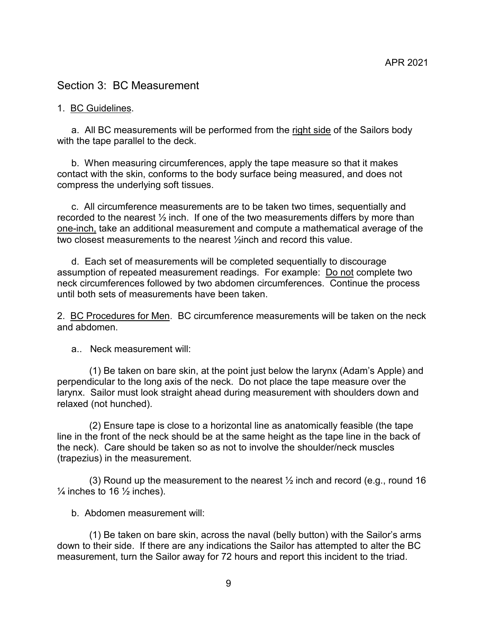#### <span id="page-8-0"></span>Section 3: BC Measurement

#### <span id="page-8-1"></span>1. BC Guidelines.

a. All BC measurements will be performed from the right side of the Sailors body with the tape parallel to the deck.

b. When measuring circumferences, apply the tape measure so that it makes contact with the skin, conforms to the body surface being measured, and does not compress the underlying soft tissues.

c. All circumference measurements are to be taken two times, sequentially and recorded to the nearest  $\frac{1}{2}$  inch. If one of the two measurements differs by more than one-inch, take an additional measurement and compute a mathematical average of the two closest measurements to the nearest ½inch and record this value.

d. Each set of measurements will be completed sequentially to discourage assumption of repeated measurement readings. For example: Do not complete two neck circumferences followed by two abdomen circumferences. Continue the process until both sets of measurements have been taken

<span id="page-8-2"></span>2. BC Procedures for Men. BC circumference measurements will be taken on the neck and abdomen.

a.. Neck measurement will:

(1) Be taken on bare skin, at the point just below the larynx (Adam's Apple) and perpendicular to the long axis of the neck. Do not place the tape measure over the larynx. Sailor must look straight ahead during measurement with shoulders down and relaxed (not hunched).

(2) Ensure tape is close to a horizontal line as anatomically feasible (the tape line in the front of the neck should be at the same height as the tape line in the back of the neck). Care should be taken so as not to involve the shoulder/neck muscles (trapezius) in the measurement.

(3) Round up the measurement to the nearest  $\frac{1}{2}$  inch and record (e.g., round 16)  $\frac{1}{4}$  inches to 16  $\frac{1}{2}$  inches).

b. Abdomen measurement will:

(1) Be taken on bare skin, across the naval (belly button) with the Sailor's arms down to their side. If there are any indications the Sailor has attempted to alter the BC measurement, turn the Sailor away for 72 hours and report this incident to the triad.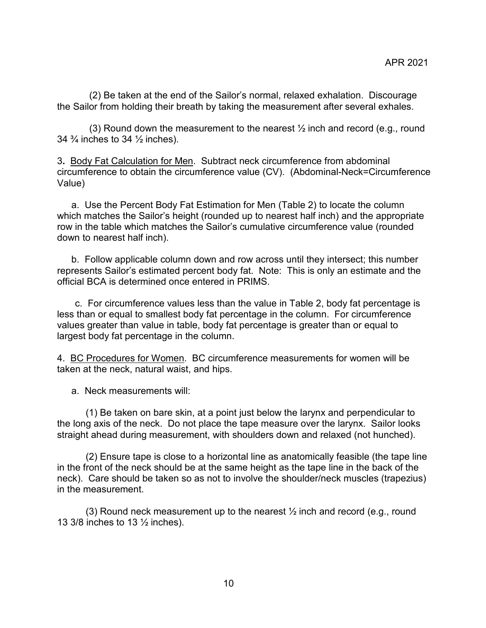(2) Be taken at the end of the Sailor's normal, relaxed exhalation. Discourage the Sailor from holding their breath by taking the measurement after several exhales.

(3) Round down the measurement to the nearest  $\frac{1}{2}$  inch and record (e.g., round 34  $\frac{3}{4}$  inches to 34  $\frac{1}{2}$  inches).

<span id="page-9-0"></span>3**.** Body Fat Calculation for Men. Subtract neck circumference from abdominal circumference to obtain the circumference value (CV). (Abdominal-Neck=Circumference Value)

a. Use the Percent Body Fat Estimation for Men (Table 2) to locate the column which matches the Sailor's height (rounded up to nearest half inch) and the appropriate row in the table which matches the Sailor's cumulative circumference value (rounded down to nearest half inch).

b. Follow applicable column down and row across until they intersect; this number represents Sailor's estimated percent body fat. Note: This is only an estimate and the official BCA is determined once entered in PRIMS.

c. For circumference values less than the value in Table 2, body fat percentage is less than or equal to smallest body fat percentage in the column. For circumference values greater than value in table, body fat percentage is greater than or equal to largest body fat percentage in the column.

<span id="page-9-1"></span>4. BC Procedures for Women. BC circumference measurements for women will be taken at the neck, natural waist, and hips.

a. Neck measurements will:

(1) Be taken on bare skin, at a point just below the larynx and perpendicular to the long axis of the neck. Do not place the tape measure over the larynx. Sailor looks straight ahead during measurement, with shoulders down and relaxed (not hunched).

(2) Ensure tape is close to a horizontal line as anatomically feasible (the tape line in the front of the neck should be at the same height as the tape line in the back of the neck). Care should be taken so as not to involve the shoulder/neck muscles (trapezius) in the measurement.

(3) Round neck measurement up to the nearest  $\frac{1}{2}$  inch and record (e.g., round 13 3/8 inches to 13 ½ inches).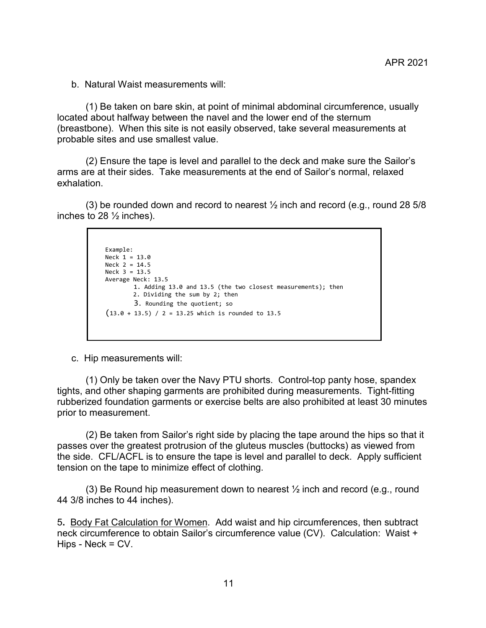b. Natural Waist measurements will:

(1) Be taken on bare skin, at point of minimal abdominal circumference, usually located about halfway between the navel and the lower end of the sternum (breastbone). When this site is not easily observed, take several measurements at probable sites and use smallest value.

(2) Ensure the tape is level and parallel to the deck and make sure the Sailor's arms are at their sides. Take measurements at the end of Sailor's normal, relaxed exhalation.

(3) be rounded down and record to nearest ½ inch and record (e.g., round 28 5/8 inches to 28  $\frac{1}{2}$  inches).

```
Example:
Neck 1 = 13.0
Neck 2 = 14.5
Neck 3 = 13.5Average Neck: 13.5 
        1. Adding 13.0 and 13.5 (the two closest measurements); then 
         2. Dividing the sum by 2; then
       3. Rounding the quotient; so
(13.0 + 13.5) / 2 = 13.25 which is rounded to 13.5
```
c. Hip measurements will:

(1) Only be taken over the Navy PTU shorts. Control-top panty hose, spandex tights, and other shaping garments are prohibited during measurements. Tight-fitting rubberized foundation garments or exercise belts are also prohibited at least 30 minutes prior to measurement.

(2) Be taken from Sailor's right side by placing the tape around the hips so that it passes over the greatest protrusion of the gluteus muscles (buttocks) as viewed from the side. CFL/ACFL is to ensure the tape is level and parallel to deck. Apply sufficient tension on the tape to minimize effect of clothing.

(3) Be Round hip measurement down to nearest  $\frac{1}{2}$  inch and record (e.g., round 44 3/8 inches to 44 inches).

<span id="page-10-0"></span>5**.** Body Fat Calculation for Women. Add waist and hip circumferences, then subtract neck circumference to obtain Sailor's circumference value (CV). Calculation: Waist + Hips - Neck = CV.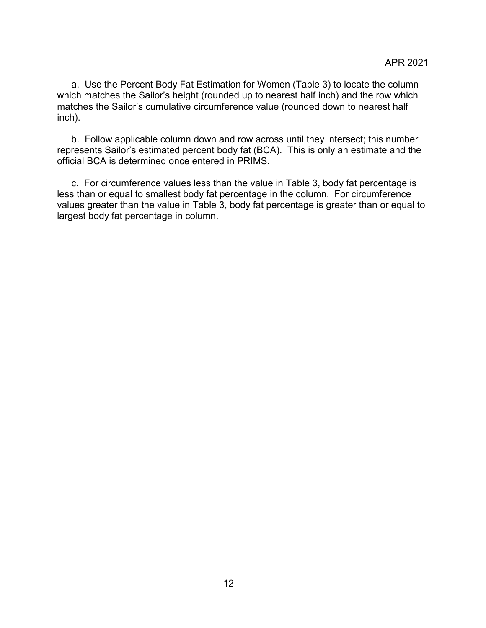a. Use the Percent Body Fat Estimation for Women (Table 3) to locate the column which matches the Sailor's height (rounded up to nearest half inch) and the row which matches the Sailor's cumulative circumference value (rounded down to nearest half inch).

b. Follow applicable column down and row across until they intersect; this number represents Sailor's estimated percent body fat (BCA). This is only an estimate and the official BCA is determined once entered in PRIMS.

c. For circumference values less than the value in Table 3, body fat percentage is less than or equal to smallest body fat percentage in the column. For circumference values greater than the value in Table 3, body fat percentage is greater than or equal to largest body fat percentage in column.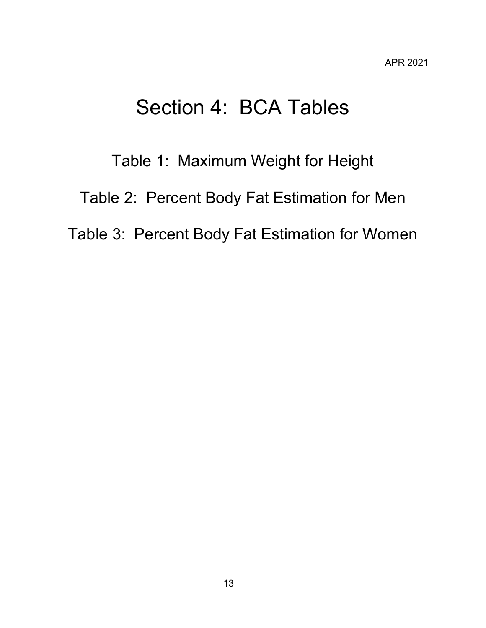### Section 4: BCA Tables

# <span id="page-12-0"></span>Table 1: Maximum Weight for Height Table 2: Percent Body Fat Estimation for Men Table 3: Percent Body Fat Estimation for Women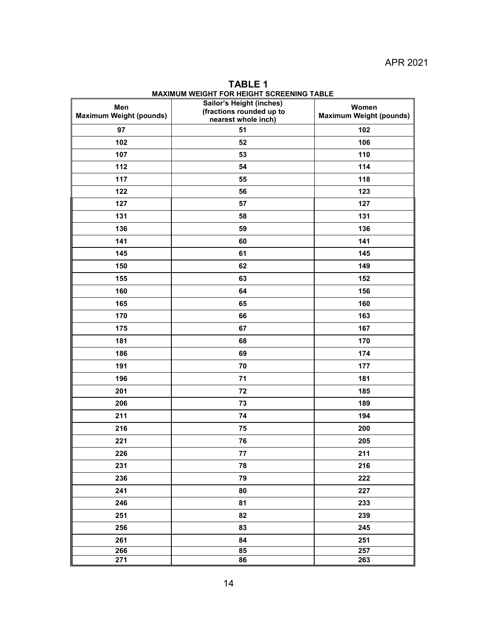<span id="page-13-0"></span>

| Men<br><b>Maximum Weight (pounds)</b> | $\cdots$<br>Sailor's Height (inches)<br>(fractions rounded up to<br>nearest whole inch) | .<br>Women<br><b>Maximum Weight (pounds)</b> |
|---------------------------------------|-----------------------------------------------------------------------------------------|----------------------------------------------|
| 97                                    | 51                                                                                      | 102                                          |
| 102                                   | 52                                                                                      | 106                                          |
| 107                                   | 53                                                                                      | 110                                          |
| 112                                   | 54                                                                                      | 114                                          |
| 117                                   | 55                                                                                      | 118                                          |
| 122                                   | 56                                                                                      | 123                                          |
| 127                                   | 57                                                                                      | 127                                          |
| 131                                   | 58                                                                                      | 131                                          |
| 136                                   | 59                                                                                      | 136                                          |
| 141                                   | 60                                                                                      | 141                                          |
| 145                                   | 61                                                                                      | 145                                          |
| 150                                   | 62                                                                                      | 149                                          |
| 155                                   | 63                                                                                      | 152                                          |
| 160                                   | 64                                                                                      | 156                                          |
| 165                                   | 65                                                                                      | 160                                          |
| 170                                   | 66                                                                                      | 163                                          |
| 175                                   | 67                                                                                      | 167                                          |
| 181                                   | 68                                                                                      | 170                                          |
| 186                                   | 69                                                                                      | 174                                          |
| 191                                   | 70                                                                                      | 177                                          |
| 196                                   | 71                                                                                      | 181                                          |
| 201                                   | 72                                                                                      | 185                                          |
| 206                                   | 73                                                                                      | 189                                          |
| 211                                   | 74                                                                                      | 194                                          |
| 216                                   | 75                                                                                      | 200                                          |
| 221                                   | 76                                                                                      | 205                                          |
| 226                                   | 77                                                                                      | 211                                          |
| 231                                   | 78                                                                                      | 216                                          |
| 236                                   | 79                                                                                      | 222                                          |
| 241                                   | 80                                                                                      | 227                                          |
| 246                                   | 81                                                                                      | 233                                          |
| 251                                   | 82                                                                                      | 239                                          |
| 256                                   | 83                                                                                      | 245                                          |
| 261                                   | 84                                                                                      | 251                                          |
| 266                                   | 85                                                                                      | 257                                          |
| 271                                   | 86                                                                                      | 263                                          |

**TABLE 1 MAXIMUM WEIGHT FOR HEIGHT SCREENING TABLE**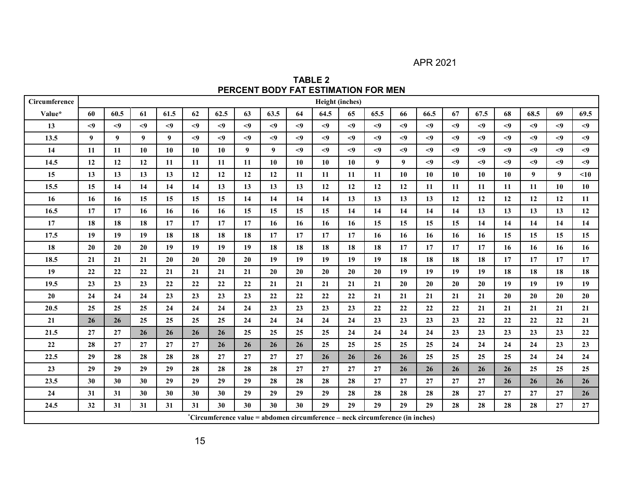APR 2021

**TABLE 2 PERCENT BODY FAT ESTIMATION FOR MEN**

<span id="page-14-0"></span>

| Circumference |                |                  |              |              |        |        |        |                                                                               |          | Height (inches) |             |        |        |          |        |        |          |                |          |          |
|---------------|----------------|------------------|--------------|--------------|--------|--------|--------|-------------------------------------------------------------------------------|----------|-----------------|-------------|--------|--------|----------|--------|--------|----------|----------------|----------|----------|
| Value*        | 60             | 60.5             | 61           | 61.5         | 62     | 62.5   | 63     | 63.5                                                                          | 64       | 64.5            | 65          | 65.5   | 66     | 66.5     | 67     | 67.5   | 68       | 68.5           | 69       | 69.5     |
| 13            | $\leq$         | $\leq$           | $\leq$       | $\leq$ 9     | $\leq$ | $\leq$ | $<$ 9  | $\leq$                                                                        | $\leq$   | $\leq$          | < 9         | $\leq$ | $\leq$ | $\leq$   | $\leq$ | $\leq$ | $\leq$   | $\leq$         | $\leq$ 9 | $<$ 9    |
| 13.5          | 9 <sup>1</sup> | $\boldsymbol{9}$ | $\mathbf{Q}$ | $\mathbf{Q}$ | $\leq$ | $\leq$ | $\leq$ | $\leq$                                                                        | $\leq 9$ | $\leq 9$        | $\langle 9$ | $\leq$ | $\leq$ | $\leq$   | $\leq$ | $\leq$ | $\leq$   | $\leq 9$       | $\leq$   | $\leq 9$ |
| 14            | 11             | 11               | 10           | 10           | 10     | 10     | 9      | 9                                                                             | $\leq$ 9 | $\leq$ 9        | $\leq$ 9    | $\leq$ | < 9    | $\leq$ 9 | $\leq$ | $\leq$ | $\leq$ 9 | $\leq$         | $\leq$ 9 | $\leq$   |
| 14.5          | 12             | 12               | 12           | 11           | 11     | 11     | 11     | 10                                                                            | 10       | 10              | 10          | 9      | 9      | $\leq$   | $<$ 9  | $\leq$ | $\leq$   | $\leq$         | $<$ 9    | $\leq$   |
| 15            | 13             | 13               | 13           | 13           | 12     | 12     | 12     | 12                                                                            | 11       | 11              | 11          | 11     | 10     | 10       | 10     | 10     | 10       | 9 <sup>1</sup> | 9        | < 10     |
| 15.5          | 15             | 14               | 14           | 14           | 14     | 13     | 13     | 13                                                                            | 13       | 12              | 12          | 12     | 12     | 11       | 11     | 11     | 11       | 11             | 10       | 10       |
| 16            | 16             | 16               | 15           | 15           | 15     | 15     | 14     | 14                                                                            | 14       | 14              | 13          | 13     | 13     | 13       | 12     | 12     | 12       | 12             | 12       | 11       |
| 16.5          | 17             | 17               | 16           | 16           | 16     | 16     | 15     | 15                                                                            | 15       | 15              | 14          | 14     | 14     | 14       | 14     | 13     | 13       | 13             | 13       | 12       |
| 17            | 18             | 18               | 18           | 17           | 17     | 17     | 17     | 16                                                                            | 16       | 16              | 16          | 15     | 15     | 15       | 15     | 14     | 14       | 14             | 14       | 14       |
| 17.5          | 19             | 19               | 19           | 18           | 18     | 18     | 18     | 17                                                                            | 17       | 17              | 17          | 16     | 16     | 16       | 16     | 16     | 15       | 15             | 15       | 15       |
| 18            | 20             | 20               | 20           | 19           | 19     | 19     | 19     | 18                                                                            | 18       | 18              | 18          | 18     | 17     | 17       | 17     | 17     | 16       | 16             | 16       | 16       |
| 18.5          | 21             | 21               | 21           | 20           | 20     | 20     | 20     | 19                                                                            | 19       | 19              | 19          | 19     | 18     | 18       | 18     | 18     | 17       | 17             | 17       | 17       |
| 19            | 22             | 22               | 22           | 21           | 21     | 21     | 21     | 20                                                                            | 20       | 20              | 20          | 20     | 19     | 19       | 19     | 19     | 18       | 18             | 18       | 18       |
| 19.5          | 23             | 23               | 23           | 22           | 22     | 22     | 22     | 21                                                                            | 21       | 21              | 21          | 21     | 20     | 20       | 20     | 20     | 19       | 19             | 19       | 19       |
| 20            | 24             | 24               | 24           | 23           | 23     | 23     | 23     | 22                                                                            | 22       | 22              | 22          | 21     | 21     | 21       | 21     | 21     | 20       | 20             | 20       | 20       |
| 20.5          | 25             | 25               | 25           | 24           | 24     | 24     | 24     | 23                                                                            | 23       | 23              | 23          | 22     | 22     | 22       | 22     | 21     | 21       | 21             | 21       | 21       |
| 21            | 26             | 26               | 25           | 25           | 25     | 25     | 24     | 24                                                                            | 24       | 24              | 24          | 23     | 23     | 23       | 23     | 22     | 22       | 22             | 22       | 21       |
| 21.5          | 27             | 27               | 26           | 26           | 26     | 26     | 25     | 25                                                                            | 25       | 25              | 24          | 24     | 24     | 24       | 23     | 23     | 23       | 23             | 23       | 22       |
| $22\,$        | 28             | 27               | 27           | 27           | 27     | 26     | 26     | 26                                                                            | 26       | 25              | 25          | 25     | 25     | 25       | 24     | 24     | 24       | 24             | 23       | 23       |
| 22.5          | 29             | 28               | 28           | 28           | 28     | 27     | 27     | 27                                                                            | 27       | 26              | 26          | 26     | 26     | 25       | 25     | 25     | 25       | 24             | 24       | 24       |
| 23            | 29             | 29               | 29           | 29           | 28     | 28     | 28     | 28                                                                            | 27       | 27              | 27          | 27     | 26     | 26       | 26     | 26     | 26       | 25             | 25       | 25       |
| 23.5          | 30             | 30               | 30           | 29           | 29     | 29     | 29     | 28                                                                            | 28       | 28              | 28          | 27     | 27     | 27       | 27     | 27     | 26       | 26             | 26       | 26       |
| 24            | 31             | 31               | 30           | 30           | 30     | 30     | 29     | 29                                                                            | 29       | 29              | 28          | 28     | 28     | 28       | 28     | 27     | 27       | 27             | 27       | 26       |
| 24.5          | 32             | 31               | 31           | 31           | 31     | 30     | 30     | 30                                                                            | 30       | 29              | 29          | 29     | 29     | 29       | 28     | 28     | 28       | 28             | 27       | 27       |
|               |                |                  |              |              |        |        |        | *Circumference value = abdomen circumference – neck circumference (in inches) |          |                 |             |        |        |          |        |        |          |                |          |          |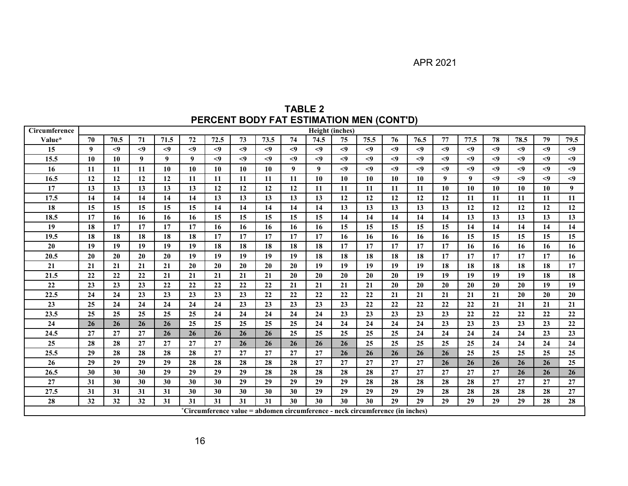| TABLE 2                                  |  |
|------------------------------------------|--|
| PERCENT BODY FAT ESTIMATION MEN (CONT'D) |  |

| Circumference |    |        |        |       |        |        |       |                                                                               |       | Height (inches) |        |          |        |        |        |       |        |        |       |        |
|---------------|----|--------|--------|-------|--------|--------|-------|-------------------------------------------------------------------------------|-------|-----------------|--------|----------|--------|--------|--------|-------|--------|--------|-------|--------|
| Value*        | 70 | 70.5   | 71     | 71.5  | 72     | 72.5   | 73    | 73.5                                                                          | 74    | 74.5            | 75     | 75.5     | 76     | 76.5   | 77     | 77.5  | 78     | 78.5   | 79    | 79.5   |
| 15            | 9  | $\leq$ | $\leq$ | $<$ 9 | $\leq$ | $\leq$ | $<$ 9 | $<$ 9                                                                         | $<$ 9 | $\leq$          | $\leq$ | $\leq$   | $\leq$ | $\leq$ | $\leq$ | $<$ 9 | $<$ 9  | $\leq$ | $<$ 9 | $\leq$ |
| 15.5          | 10 | 10     | 9      | 9     | 9      | < 9    | $<$ 9 | < 9                                                                           | $<$ 9 | $<$ 9           | $\leq$ | $\leq$ 9 | $\leq$ | $\leq$ | $\leq$ | < 9   | < 9    | < 9    | < 9   | $<$ 9  |
| 16            | 11 | 11     | 11     | 10    | 10     | 10     | 10    | 10                                                                            | 9     | 9               | $\leq$ | $\leq$   | $<$ 9  | $<$ 9  | $\leq$ | < 9   | $\leq$ | $\leq$ | < 9   | $<$ 9  |
| 16.5          | 12 | 12     | 12     | 12    | 11     | 11     | 11    | 11                                                                            | 11    | 10              | 10     | 10       | 10     | 10     | 9      | 9     | < 9    | $\leq$ | < 9   | $<$ 9  |
| 17            | 13 | 13     | 13     | 13    | 13     | 12     | 12    | 12                                                                            | 12    | 11              | 11     | 11       | 11     | 11     | 10     | 10    | 10     | 10     | 10    | 9      |
| 17.5          | 14 | 14     | 14     | 14    | 14     | 13     | 13    | 13                                                                            | 13    | 13              | 12     | 12       | 12     | 12     | 12     | 11    | 11     | 11     | 11    | 11     |
| 18            | 15 | 15     | 15     | 15    | 15     | 14     | 14    | 14                                                                            | 14    | 14              | 13     | 13       | 13     | 13     | 13     | 12    | 12     | 12     | 12    | 12     |
| 18.5          | 17 | 16     | 16     | 16    | 16     | 15     | 15    | 15                                                                            | 15    | 15              | 14     | 14       | 14     | 14     | 14     | 13    | 13     | 13     | 13    | 13     |
| 19            | 18 | 17     | 17     | 17    | 17     | 16     | 16    | 16                                                                            | 16    | 16              | 15     | 15       | 15     | 15     | 15     | 14    | 14     | 14     | 14    | 14     |
| 19.5          | 18 | 18     | 18     | 18    | 18     | 17     | 17    | 17                                                                            | 17    | 17              | 16     | 16       | 16     | 16     | 16     | 15    | 15     | 15     | 15    | 15     |
| 20            | 19 | 19     | 19     | 19    | 19     | 18     | 18    | 18                                                                            | 18    | 18              | 17     | 17       | 17     | 17     | 17     | 16    | 16     | 16     | 16    | 16     |
| 20.5          | 20 | 20     | 20     | 20    | 19     | 19     | 19    | 19                                                                            | 19    | 18              | 18     | 18       | 18     | 18     | 17     | 17    | 17     | 17     | 17    | 16     |
| 21            | 21 | 21     | 21     | 21    | 20     | 20     | 20    | 20                                                                            | 20    | 19              | 19     | 19       | 19     | 19     | 18     | 18    | 18     | 18     | 18    | 17     |
| 21.5          | 22 | 22     | 22     | 21    | 21     | 21     | 21    | 21                                                                            | 20    | 20              | 20     | 20       | 20     | 19     | 19     | 19    | 19     | 19     | 18    | 18     |
| 22            | 23 | 23     | 23     | 22    | 22     | 22     | 22    | 22                                                                            | 21    | 21              | 21     | 21       | 20     | 20     | 20     | 20    | 20     | 20     | 19    | 19     |
| 22.5          | 24 | 24     | 23     | 23    | 23     | 23     | 23    | 22                                                                            | 22    | 22              | 22     | 22       | 21     | 21     | 21     | 21    | 21     | 20     | 20    | 20     |
| 23            | 25 | 24     | 24     | 24    | 24     | 24     | 23    | 23                                                                            | 23    | 23              | 23     | 22       | 22     | 22     | 22     | 22    | 21     | 21     | 21    | 21     |
| 23.5          | 25 | 25     | 25     | 25    | 25     | 24     | 24    | 24                                                                            | 24    | 24              | 23     | 23       | 23     | 23     | 23     | 22    | 22     | 22     | 22    | 22     |
| 24            | 26 | 26     | 26     | 26    | 25     | 25     | 25    | 25                                                                            | 25    | 24              | 24     | 24       | 24     | 24     | 23     | 23    | 23     | 23     | 23    | 22     |
| 24.5          | 27 | 27     | 27     | 26    | 26     | 26     | 26    | 26                                                                            | 25    | 25              | 25     | 25       | 25     | 24     | 24     | 24    | 24     | 24     | 23    | 23     |
| 25            | 28 | 28     | 27     | 27    | 27     | 27     | 26    | 26                                                                            | 26    | 26              | 26     | 25       | 25     | 25     | 25     | 25    | 24     | 24     | 24    | 24     |
| 25.5          | 29 | 28     | 28     | 28    | 28     | 27     | 27    | 27                                                                            | 27    | 27              | 26     | 26       | 26     | 26     | 26     | 25    | 25     | 25     | 25    | 25     |
| 26            | 29 | 29     | 29     | 29    | 28     | 28     | 28    | 28                                                                            | 28    | 27              | 27     | 27       | 27     | 27     | 26     | 26    | 26     | 26     | 26    | 25     |
| 26.5          | 30 | 30     | 30     | 29    | 29     | 29     | 29    | 28                                                                            | 28    | 28              | 28     | 28       | 27     | 27     | 27     | 27    | 27     | 26     | 26    | 26     |
| 27            | 31 | 30     | 30     | 30    | 30     | 30     | 29    | 29                                                                            | 29    | 29              | 29     | 28       | 28     | 28     | 28     | 28    | 27     | 27     | 27    | 27     |
| 27.5          | 31 | 31     | 31     | 31    | 30     | 30     | 30    | 30                                                                            | 30    | 29              | 29     | 29       | 29     | 29     | 28     | 28    | 28     | 28     | 28    | 27     |
| 28            | 32 | 32     | 32     | 31    | 31     | 31     | 31    | 31                                                                            | 30    | 30              | 30     | 30       | 29     | 29     | 29     | 29    | 29     | 29     | 28    | 28     |
|               |    |        |        |       |        |        |       | *Circumference value = abdomen circumference - neck circumference (in inches) |       |                 |        |          |        |        |        |       |        |        |       |        |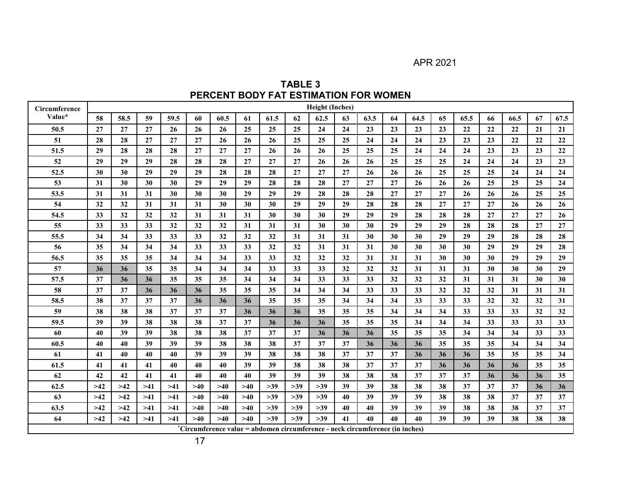APR 2021

**TABLE 3 PERCENT BODY FAT ESTIMATION FOR WOMEN** 

<span id="page-16-0"></span>

| Circumference |       |       |       |       |       |       |       |       |       | <b>Height (Inches)</b>                                                        |    |      |    |      |    |      |    |      |    |      |
|---------------|-------|-------|-------|-------|-------|-------|-------|-------|-------|-------------------------------------------------------------------------------|----|------|----|------|----|------|----|------|----|------|
| Value*        | 58    | 58.5  | 59    | 59.5  | 60    | 60.5  | 61    | 61.5  | 62    | 62.5                                                                          | 63 | 63.5 | 64 | 64.5 | 65 | 65.5 | 66 | 66.5 | 67 | 67.5 |
| 50.5          | 27    | 27    | 27    | 26    | 26    | 26    | 25    | 25    | 25    | 24                                                                            | 24 | 23   | 23 | 23   | 23 | 22   | 22 | 22   | 21 | 21   |
| 51            | 28    | 28    | 27    | 27    | 27    | 26    | 26    | 26    | 25    | 25                                                                            | 25 | 24   | 24 | 24   | 23 | 23   | 23 | 22   | 22 | 22   |
| 51.5          | 29    | 28    | 28    | 28    | 27    | 27    | 27    | 26    | 26    | 26                                                                            | 25 | 25   | 25 | 24   | 24 | 24   | 23 | 23   | 23 | 22   |
| 52            | 29    | 29    | 29    | 28    | 28    | 28    | 27    | 27    | 27    | 26                                                                            | 26 | 26   | 25 | 25   | 25 | 24   | 24 | 24   | 23 | 23   |
| 52.5          | 30    | 30    | 29    | 29    | 29    | 28    | 28    | 28    | 27    | 27                                                                            | 27 | 26   | 26 | 26   | 25 | 25   | 25 | 24   | 24 | 24   |
| 53            | 31    | 30    | 30    | 30    | 29    | 29    | 29    | 28    | 28    | 28                                                                            | 27 | 27   | 27 | 26   | 26 | 26   | 25 | 25   | 25 | 24   |
| 53.5          | 31    | 31    | 31    | 30    | 30    | 30    | 29    | 29    | 29    | 28                                                                            | 28 | 28   | 27 | 27   | 27 | 26   | 26 | 26   | 25 | 25   |
| 54            | 32    | 32    | 31    | 31    | 31    | 30    | 30    | 30    | 29    | 29                                                                            | 29 | 28   | 28 | 28   | 27 | 27   | 27 | 26   | 26 | 26   |
| 54.5          | 33    | 32    | 32    | 32    | 31    | 31    | 31    | 30    | 30    | 30                                                                            | 29 | 29   | 29 | 28   | 28 | 28   | 27 | 27   | 27 | 26   |
| 55            | 33    | 33    | 33    | 32    | 32    | 32    | 31    | 31    | 31    | 30                                                                            | 30 | 30   | 29 | 29   | 29 | 28   | 28 | 28   | 27 | 27   |
| 55.5          | 34    | 34    | 33    | 33    | 33    | 32    | 32    | 32    | 31    | 31                                                                            | 31 | 30   | 30 | 30   | 29 | 29   | 29 | 28   | 28 | 28   |
| 56            | 35    | 34    | 34    | 34    | 33    | 33    | 33    | 32    | 32    | 31                                                                            | 31 | 31   | 30 | 30   | 30 | 30   | 29 | 29   | 29 | 28   |
| 56.5          | 35    | 35    | 35    | 34    | 34    | 34    | 33    | 33    | 32    | 32                                                                            | 32 | 31   | 31 | 31   | 30 | 30   | 30 | 29   | 29 | 29   |
| 57            | 36    | 36    | 35    | 35    | 34    | 34    | 34    | 33    | 33    | 33                                                                            | 32 | 32   | 32 | 31   | 31 | 31   | 30 | 30   | 30 | 29   |
| 57.5          | 37    | 36    | 36    | 35    | 35    | 35    | 34    | 34    | 34    | 33                                                                            | 33 | 33   | 32 | 32   | 32 | 31   | 31 | 31   | 30 | 30   |
| 58            | 37    | 37    | 36    | 36    | 36    | 35    | 35    | 35    | 34    | 34                                                                            | 34 | 33   | 33 | 33   | 32 | 32   | 32 | 31   | 31 | 31   |
| 58.5          | 38    | 37    | 37    | 37    | 36    | 36    | 36    | 35    | 35    | 35                                                                            | 34 | 34   | 34 | 33   | 33 | 33   | 32 | 32   | 32 | 31   |
| 59            | 38    | 38    | 38    | 37    | 37    | 37    | 36    | 36    | 36    | 35                                                                            | 35 | 35   | 34 | 34   | 34 | 33   | 33 | 33   | 32 | 32   |
| 59.5          | 39    | 39    | 38    | 38    | 38    | 37    | 37    | 36    | 36    | 36                                                                            | 35 | 35   | 35 | 34   | 34 | 34   | 33 | 33   | 33 | 33   |
| 60            | 40    | 39    | 39    | 38    | 38    | 38    | 37    | 37    | 37    | 36                                                                            | 36 | 36   | 35 | 35   | 35 | 34   | 34 | 34   | 33 | 33   |
| 60.5          | 40    | 40    | 39    | 39    | 39    | 38    | 38    | 38    | 37    | 37                                                                            | 37 | 36   | 36 | 36   | 35 | 35   | 35 | 34   | 34 | 34   |
| 61            | 41    | 40    | 40    | 40    | 39    | 39    | 39    | 38    | 38    | 38                                                                            | 37 | 37   | 37 | 36   | 36 | 36   | 35 | 35   | 35 | 34   |
| 61.5          | 41    | 41    | 41    | 40    | 40    | 40    | 39    | 39    | 38    | 38                                                                            | 38 | 37   | 37 | 37   | 36 | 36   | 36 | 36   | 35 | 35   |
| 62            | 42    | 42    | 41    | 41    | 40    | 40    | 40    | 39    | 39    | 39                                                                            | 38 | 38   | 38 | 37   | 37 | 37   | 36 | 36   | 36 | 35   |
| 62.5          | $>42$ | $>42$ | $>41$ | $>41$ | $>40$ | >40   | $>40$ | $>39$ | $>39$ | $>39$                                                                         | 39 | 39   | 38 | 38   | 38 | 37   | 37 | 37   | 36 | 36   |
| 63            | $>42$ | >12   | $>41$ | $>41$ | >40   | $>40$ | >40   | $>39$ | $>39$ | $>39$                                                                         | 40 | 39   | 39 | 39   | 38 | 38   | 38 | 37   | 37 | 37   |
| 63.5          | $>42$ | $>42$ | $>41$ | $>41$ | >40   | $>40$ | >40   | $>39$ | >39   | $>39$                                                                         | 40 | 40   | 39 | 39   | 39 | 38   | 38 | 38   | 37 | 37   |
| 64            | $>42$ | $>42$ | >41   | $>41$ | $>40$ | $>40$ | $>40$ | $>39$ | $>39$ | $>39$                                                                         | 41 | 40   | 40 | 40   | 39 | 39   | 39 | 38   | 38 | 38   |
|               |       |       |       |       |       |       |       |       |       | *Circumference value = abdomen circumference - neck circumference (in inches) |    |      |    |      |    |      |    |      |    |      |